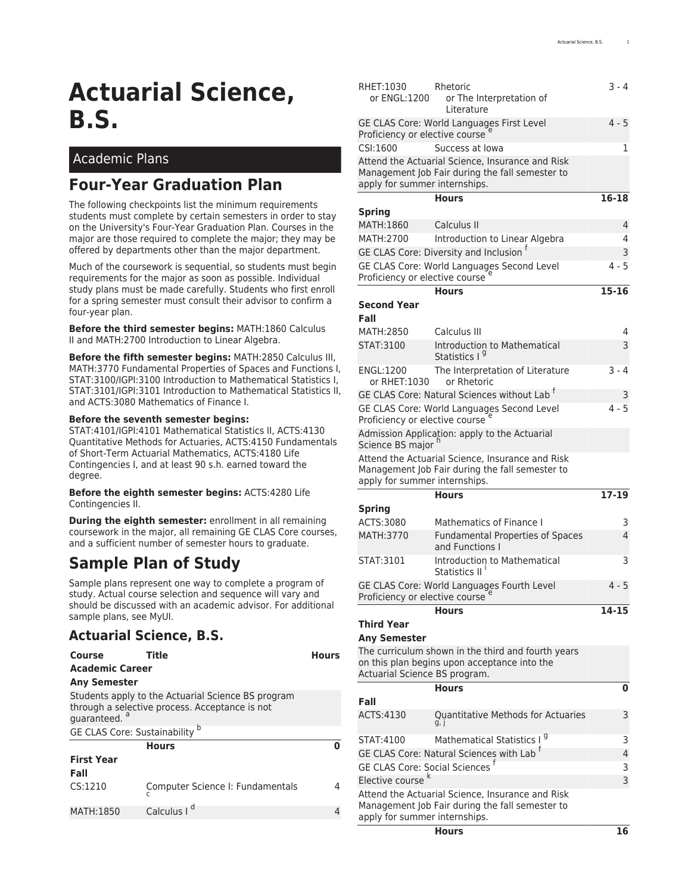# **Actuarial Science, B.S.**

### Academic Plans

## **Four-Year Graduation Plan**

The following checkpoints list the minimum requirements students must complete by certain semesters in order to stay on the University's [Four-Year Graduation Plan.](https://newstudents.uiowa.edu/graduate-four-years/) Courses in the major are those required to complete the major; they may be offered by departments other than the major department.

Much of the coursework is sequential, so students must begin requirements for the major as soon as possible. Individual study plans must be made carefully. Students who first enroll for a spring semester must consult their advisor to confirm a four-year plan.

**Before the third semester begins:** MATH:1860 Calculus II and MATH:2700 Introduction to Linear Algebra.

**Before the fifth semester begins:** MATH:2850 Calculus III, MATH:3770 Fundamental Properties of Spaces and Functions I, STAT:3100/IGPI:3100 Introduction to Mathematical Statistics I, STAT:3101/IGPI:3101 Introduction to Mathematical Statistics II, and ACTS:3080 Mathematics of Finance I.

#### **Before the seventh semester begins:**

STAT:4101/IGPI:4101 Mathematical Statistics II, ACTS:4130 Quantitative Methods for Actuaries, ACTS:4150 Fundamentals of Short-Term Actuarial Mathematics, ACTS:4180 Life Contingencies I, and at least 90 s.h. earned toward the degree.

#### **Before the eighth semester begins:** ACTS:4280 Life Contingencies II.

**During the eighth semester:** enrollment in all remaining coursework in the major, all remaining GE CLAS Core courses, and a sufficient number of semester hours to graduate.

# **Sample Plan of Study**

Sample plans represent one way to complete a program of study. Actual course selection and sequence will vary and should be discussed with an academic advisor. For additional sample plans, see [MyUI](https://myui.uiowa.edu/my-ui/student/records/advising/plans/sample-plan-search.page).

### **Actuarial Science, B.S.**

| Course<br><b>Academic Career</b> | Title                                                                                                | <b>Hours</b> |  |  |
|----------------------------------|------------------------------------------------------------------------------------------------------|--------------|--|--|
| <b>Any Semester</b>              |                                                                                                      |              |  |  |
| quaranteed. <sup>a</sup>         | Students apply to the Actuarial Science BS program<br>through a selective process. Acceptance is not |              |  |  |
| GE CLAS Core: Sustainability b   |                                                                                                      |              |  |  |
|                                  | <b>Hours</b>                                                                                         |              |  |  |
| <b>First Year</b><br>Fall        |                                                                                                      |              |  |  |
| CS:1210                          | Computer Science I: Fundamentals                                                                     |              |  |  |
| MATH:1850                        | Calculus I                                                                                           |              |  |  |

| RHET:1030<br>or ENGL:1200                                                                | Rhetoric<br>or The Interpretation of<br>Literature                                                  | $3 - 4$      |
|------------------------------------------------------------------------------------------|-----------------------------------------------------------------------------------------------------|--------------|
| GE CLAS Core: World Languages First Level<br>Proficiency or elective course <sup>e</sup> |                                                                                                     |              |
| CSI:1600                                                                                 | Success at Iowa                                                                                     | 1            |
| apply for summer internships.                                                            | Attend the Actuarial Science, Insurance and Risk<br>Management Job Fair during the fall semester to |              |
|                                                                                          | <b>Hours</b>                                                                                        | 16-18        |
| <b>Spring</b>                                                                            |                                                                                                     |              |
| MATH:1860                                                                                | Calculus II                                                                                         | 4            |
| MATH:2700                                                                                | Introduction to Linear Algebra                                                                      | 4            |
|                                                                                          | GE CLAS Core: Diversity and Inclusion <sup>t</sup>                                                  | 3<br>$4 - 5$ |
| Proficiency or elective course                                                           | GE CLAS Core: World Languages Second Level                                                          |              |
|                                                                                          | <b>Hours</b>                                                                                        | $15 - 16$    |
| <b>Second Year</b>                                                                       |                                                                                                     |              |
| Fall                                                                                     |                                                                                                     |              |
| MATH: 2850                                                                               | Calculus III                                                                                        | 4            |
| STAT:3100                                                                                | Introduction to Mathematical<br>Statistics I <sup>9</sup>                                           | 3            |
| ENGL:1200<br>or RHET:1030                                                                | The Interpretation of Literature<br>or Rhetoric                                                     | $3 - 4$      |
|                                                                                          | GE CLAS Core: Natural Sciences without Lab <sup>t</sup>                                             | 3            |
| Proficiency or elective course<br>Science BS major h                                     | GE CLAS Core: World Languages Second Level<br>Admission Application: apply to the Actuarial         | $4 - 5$      |
|                                                                                          | Attend the Actuarial Science, Insurance and Risk                                                    |              |
| apply for summer internships.                                                            | Management Job Fair during the fall semester to                                                     |              |
|                                                                                          | <b>Hours</b>                                                                                        | $17 - 19$    |
| <b>Spring</b>                                                                            |                                                                                                     |              |
| ACTS:3080                                                                                | <b>Mathematics of Finance I</b>                                                                     | 3            |
| MATH:3770                                                                                | <b>Fundamental Properties of Spaces</b><br>and Functions I                                          | 4            |
| STAT:3101                                                                                | Introduction to Mathematical<br>Statistics II                                                       | 3            |
| Proficiency or elective course <sup>e</sup>                                              | GE CLAS Core: World Languages Fourth Level                                                          | $4 - 5$      |
|                                                                                          | Hours                                                                                               | 14-15        |
| <b>Third Year</b>                                                                        |                                                                                                     |              |
| <b>Any Semester</b>                                                                      |                                                                                                     |              |
|                                                                                          | The curriculum shown in the third and fourth years<br>on this plan begins upon acceptance into the  |              |
| Actuarial Science BS program.                                                            | <b>Hours</b>                                                                                        | 0            |
| Fall                                                                                     |                                                                                                     |              |
| ACTS:4130                                                                                | Quantitative Methods for Actuaries                                                                  | 3            |
| STAT:4100                                                                                | Mathematical Statistics I <sup>9</sup>                                                              | 3            |
|                                                                                          | GE CLAS Core: Natural Sciences with Lab                                                             | 4            |
| <b>GE CLAS Core: Social Sciences</b>                                                     |                                                                                                     | 3            |
| Elective course <sup>k</sup>                                                             |                                                                                                     | 3            |
| apply for summer internships.                                                            | Attend the Actuarial Science, Insurance and Risk<br>Management Job Fair during the fall semester to |              |